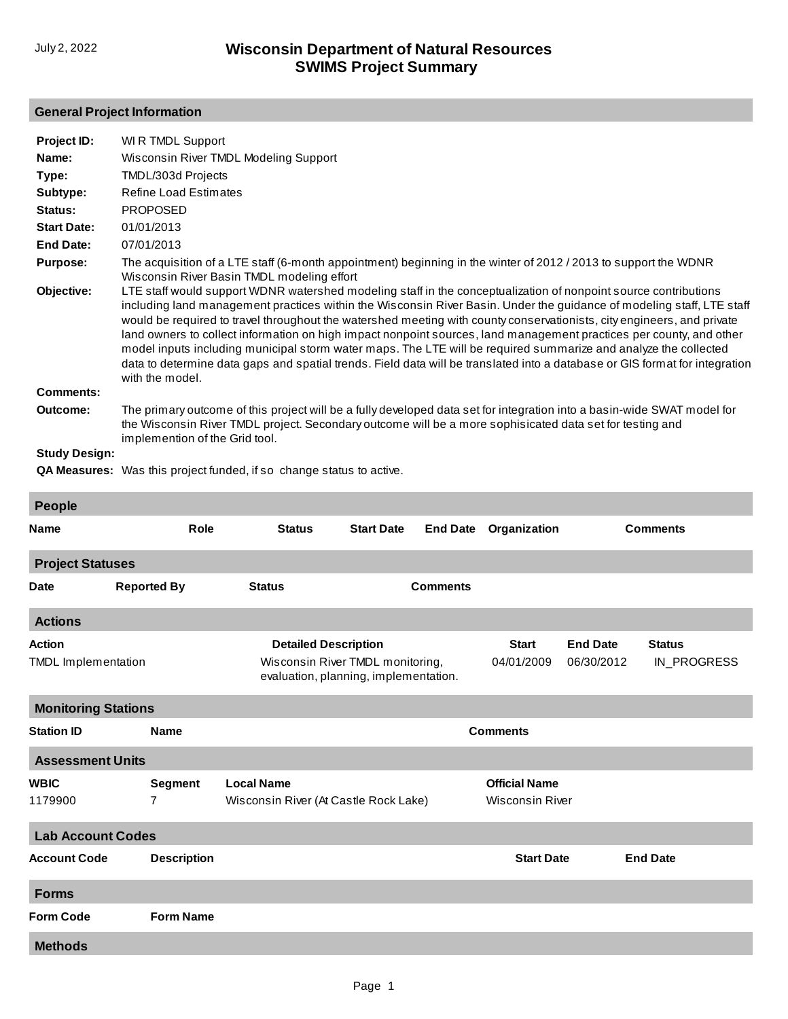## **General Project Information**

| Project ID:          | WI R TMDL Support                                                                                                                                                                                                                                                                                                                                                                                                                                                                                                                                                                                                                                                                                                                                              |
|----------------------|----------------------------------------------------------------------------------------------------------------------------------------------------------------------------------------------------------------------------------------------------------------------------------------------------------------------------------------------------------------------------------------------------------------------------------------------------------------------------------------------------------------------------------------------------------------------------------------------------------------------------------------------------------------------------------------------------------------------------------------------------------------|
| Name:                | Wisconsin River TMDL Modeling Support                                                                                                                                                                                                                                                                                                                                                                                                                                                                                                                                                                                                                                                                                                                          |
| Type:                | TMDL/303d Projects                                                                                                                                                                                                                                                                                                                                                                                                                                                                                                                                                                                                                                                                                                                                             |
| Subtype:             | <b>Refine Load Estimates</b>                                                                                                                                                                                                                                                                                                                                                                                                                                                                                                                                                                                                                                                                                                                                   |
| Status:              | <b>PROPOSED</b>                                                                                                                                                                                                                                                                                                                                                                                                                                                                                                                                                                                                                                                                                                                                                |
| <b>Start Date:</b>   | 01/01/2013                                                                                                                                                                                                                                                                                                                                                                                                                                                                                                                                                                                                                                                                                                                                                     |
| <b>End Date:</b>     | 07/01/2013                                                                                                                                                                                                                                                                                                                                                                                                                                                                                                                                                                                                                                                                                                                                                     |
| <b>Purpose:</b>      | The acquisition of a LTE staff (6-month appointment) beginning in the winter of 2012 / 2013 to support the WDNR<br>Wisconsin River Basin TMDL modeling effort                                                                                                                                                                                                                                                                                                                                                                                                                                                                                                                                                                                                  |
| Objective:           | LTE staff would support WDNR watershed modeling staff in the conceptualization of nonpoint source contributions<br>including land management practices within the Wisconsin River Basin. Under the guidance of modeling staff, LTE staff<br>would be required to travel throughout the watershed meeting with county conservationists, city engineers, and private<br>land owners to collect information on high impact nonpoint sources, land management practices per county, and other<br>model inputs including municipal storm water maps. The LTE will be required summarize and analyze the collected<br>data to determine data gaps and spatial trends. Field data will be translated into a database or GIS format for integration<br>with the model. |
| <b>Comments:</b>     |                                                                                                                                                                                                                                                                                                                                                                                                                                                                                                                                                                                                                                                                                                                                                                |
| Outcome:             | The primary outcome of this project will be a fully developed data set for integration into a basin-wide SWAT model for<br>the Wisconsin River TMDL project. Secondary outcome will be a more sophisicated data set for testing and<br>implemention of the Grid tool.                                                                                                                                                                                                                                                                                                                                                                                                                                                                                          |
| <b>Study Design:</b> |                                                                                                                                                                                                                                                                                                                                                                                                                                                                                                                                                                                                                                                                                                                                                                |
|                      | $\mathbf{r}$ , and the set of the set of the set of the set of the set of the set of the set of the set of the set of the set of the set of the set of the set of the set of the set of the set of the set of the set of the set                                                                                                                                                                                                                                                                                                                                                                                                                                                                                                                               |

**QA Measures:** Was this project funded, if so change status to active.

| <b>People</b>              |                    |                                                                           |                                       |                 |              |                        |                 |  |  |
|----------------------------|--------------------|---------------------------------------------------------------------------|---------------------------------------|-----------------|--------------|------------------------|-----------------|--|--|
| <b>Name</b>                | Role               | <b>Status</b>                                                             | <b>Start Date</b>                     | <b>End Date</b> | Organization | <b>Comments</b>        |                 |  |  |
| <b>Project Statuses</b>    |                    |                                                                           |                                       |                 |              |                        |                 |  |  |
| <b>Date</b>                | <b>Reported By</b> | <b>Status</b>                                                             | <b>Comments</b>                       |                 |              |                        |                 |  |  |
| <b>Actions</b>             |                    |                                                                           |                                       |                 |              |                        |                 |  |  |
| <b>Action</b>              |                    | <b>Detailed Description</b>                                               |                                       |                 | <b>Start</b> | <b>End Date</b>        | <b>Status</b>   |  |  |
| <b>TMDL</b> Implementation |                    | Wisconsin River TMDL monitoring,<br>evaluation, planning, implementation. |                                       | 04/01/2009      | 06/30/2012   | IN_PROGRESS            |                 |  |  |
| <b>Monitoring Stations</b> |                    |                                                                           |                                       |                 |              |                        |                 |  |  |
| <b>Station ID</b>          | <b>Name</b>        | <b>Comments</b>                                                           |                                       |                 |              |                        |                 |  |  |
| <b>Assessment Units</b>    |                    |                                                                           |                                       |                 |              |                        |                 |  |  |
| <b>WBIC</b>                | <b>Segment</b>     | <b>Local Name</b>                                                         |                                       |                 |              | <b>Official Name</b>   |                 |  |  |
| 1179900                    | $\overline{7}$     |                                                                           | Wisconsin River (At Castle Rock Lake) |                 |              | <b>Wisconsin River</b> |                 |  |  |
| <b>Lab Account Codes</b>   |                    |                                                                           |                                       |                 |              |                        |                 |  |  |
| <b>Account Code</b>        | <b>Description</b> |                                                                           |                                       |                 |              | <b>Start Date</b>      | <b>End Date</b> |  |  |
| <b>Forms</b>               |                    |                                                                           |                                       |                 |              |                        |                 |  |  |
| <b>Form Code</b>           | <b>Form Name</b>   |                                                                           |                                       |                 |              |                        |                 |  |  |
| <b>Methods</b>             |                    |                                                                           |                                       |                 |              |                        |                 |  |  |